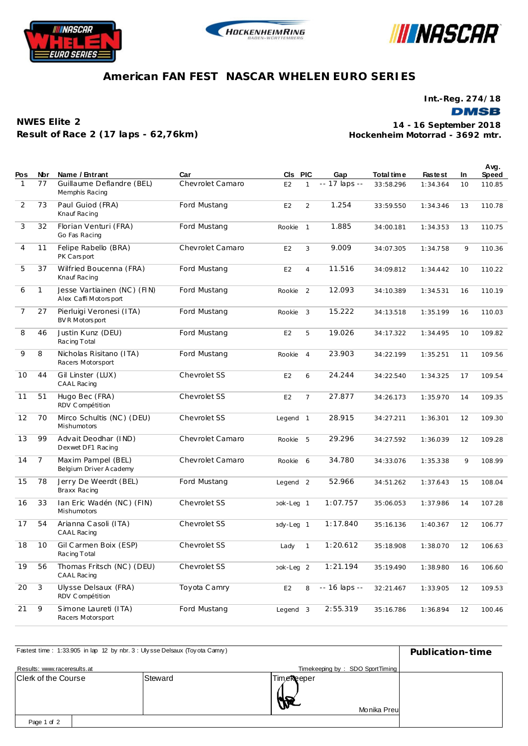





## **American FAN FEST NASCAR WHELEN EURO SERIES**

**Int.-Reg. 274/18**

**DMSB** 

**NWES Elite 2 Result of Race 2 (17 laps - 62,76km)**

**Hockenheim Motorrad - 3692 mtr. 14 - 16 September 2018**

| Pos            | Nbr            | Name / Entrant                                       | Car              | CIs PIC              |                | Gap           | Total time | <b>Fastest</b> | In | Avg.<br><b>Speed</b> |
|----------------|----------------|------------------------------------------------------|------------------|----------------------|----------------|---------------|------------|----------------|----|----------------------|
| 1              | 77             | Guillaume Deflandre (BEL)<br>Memphis Racing          | Chevrolet Camaro | E <sub>2</sub>       | 1              | -- 17 laps -- | 33:58.296  | 1:34.364       | 10 | 110.85               |
| $\overline{2}$ | 73             | Paul Guiod (FRA)<br>Knauf Racing                     | Ford Mustang     | E <sub>2</sub>       | 2              | 1.254         | 33:59.550  | 1:34.346       | 13 | 110.78               |
| 3              | 32             | Florian Venturi (FRA)<br>Go Fas Racing               | Ford Mustang     | Rookie               | $\mathbf{1}$   | 1.885         | 34:00.181  | 1:34.353       | 13 | 110.75               |
| $\overline{4}$ | 11             | Felipe Rabello (BRA)<br>PK Carsport                  | Chevrolet Camaro | E <sub>2</sub>       | 3              | 9.009         | 34:07.305  | 1:34.758       | 9  | 110.36               |
| 5              | 37             | Wilfried Boucenna (FRA)<br>Knauf Racing              | Ford Mustang     | E <sub>2</sub>       | $\overline{4}$ | 11.516        | 34:09.812  | 1:34.442       | 10 | 110.22               |
| 6              | $\mathbf{1}$   | Jesse Vartiainen (NC) (FIN)<br>Alex Caffi Motorsport | Ford Mustang     | Rookie               | 2              | 12.093        | 34:10.389  | 1:34.531       | 16 | 110.19               |
| $\overline{7}$ | 27             | Pierluigi Veronesi (ITA)<br>BV R Motors port         | Ford Mustang     | Rookie               | 3              | 15.222        | 34:13.518  | 1:35.199       | 16 | 110.03               |
| 8              | 46             | Justin Kunz (DEU)<br>Racing Total                    | Ford Mustang     | E <sub>2</sub>       | 5              | 19.026        | 34:17.322  | 1:34.495       | 10 | 109.82               |
| 9              | 8              | Nicholas Risitano (ITA)<br>Racers Motorsport         | Ford Mustang     | Rookie               | $\overline{4}$ | 23.903        | 34:22.199  | 1:35.251       | 11 | 109.56               |
| 10             | 44             | Gil Linster (LUX)<br>CAAL Racing                     | Chevrolet SS     | E <sub>2</sub>       | 6              | 24.244        | 34:22.540  | 1:34.325       | 17 | 109.54               |
| 11             | 51             | Hugo Bec (FRA)<br>RDV Compétition                    | Chevrolet SS     | E <sub>2</sub>       | $\overline{7}$ | 27.877        | 34:26.173  | 1:35.970       | 14 | 109.35               |
| 12             | 70             | Mirco Schultis (NC) (DEU)<br>Mishumotors             | Chevrolet SS     | Legend 1             |                | 28.915        | 34:27.211  | 1:36.301       | 12 | 109.30               |
| 13             | 99             | Advait Deodhar (IND)<br>Dexwet DF1 Racing            | Chevrolet Camaro | Rookie               | 5              | 29.296        | 34:27.592  | 1:36.039       | 12 | 109.28               |
| 14             | $\overline{7}$ | Maxim Pampel (BEL)<br>Belgium Driver A cademy        | Chevrolet Camaro | Rookie               | 6              | 34.780        | 34:33.076  | 1:35.338       | 9  | 108.99               |
| 15             | 78             | Jerry De Weerdt (BEL)<br>Braxx Racing                | Ford Mustang     | Legend <sub>2</sub>  |                | 52.966        | 34:51.262  | 1:37.643       | 15 | 108.04               |
| 16             | 33             | Ian Eric Wadén (NC) (FIN)<br>Mishumotors             | Chevrolet SS     | ook-Lec 1            |                | 1:07.757      | 35:06.053  | 1:37.986       | 14 | 107.28               |
| 17             | 54             | Arianna Casoli (ITA)<br>CAAL Racing                  | Chevrolet SS     | ady-Lec 1            |                | 1:17.840      | 35:16.136  | 1:40.367       | 12 | 106.77               |
| 18             | 10             | Gil Carmen Boix (ESP)<br>Racing Total                | Chevrolet SS     | Lady                 | $\mathbf{1}$   | 1:20.612      | 35:18.908  | 1:38.070       | 12 | 106.63               |
| 19             | 56             | Thomas Fritsch (NC) (DEU)<br>CAAL Racing             | Chevrolet SS     | bok-Lec <sub>2</sub> |                | 1:21.194      | 35:19.490  | 1:38.980       | 16 | 106.60               |
| 20             | 3              | Ulysse Delsaux (FRA)<br>RDV Compétition              | Toyota Camry     | E <sub>2</sub>       | 8              | -- 16 laps -- | 32:21.467  | 1:33.905       | 12 | 109.53               |
| 21             | 9              | Simone Laureti (ITA)<br>Racers Motorsport            | Ford Mustang     | Legend <sub>3</sub>  |                | 2:55.319      | 35:16.786  | 1:36.894       | 12 | 100.46               |

| Fastest time: 1:33.905 in lap 12 by nbr. 3 : Ulysse Delsaux (Toyota Camry) | Publication-time |                                 |  |
|----------------------------------------------------------------------------|------------------|---------------------------------|--|
| Results: www.raceresults.at                                                |                  | Timekeeping by: SDO SportTiming |  |
| Clerk of the Course                                                        | Steward          | TimeReeper<br>Monika Preul      |  |
| Page 1 of 2                                                                |                  |                                 |  |